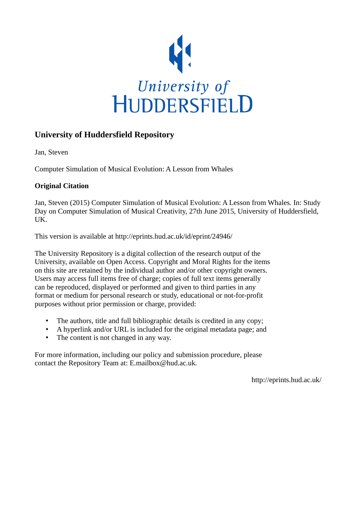

#### **University of Huddersfield Repository**

Jan, Steven

Computer Simulation of Musical Evolution: A Lesson from Whales

#### **Original Citation**

Jan, Steven (2015) Computer Simulation of Musical Evolution: A Lesson from Whales. In: Study Day on Computer Simulation of Musical Creativity, 27th June 2015, University of Huddersfield, UK.

This version is available at http://eprints.hud.ac.uk/id/eprint/24946/

The University Repository is a digital collection of the research output of the University, available on Open Access. Copyright and Moral Rights for the items on this site are retained by the individual author and/or other copyright owners. Users may access full items free of charge; copies of full text items generally can be reproduced, displayed or performed and given to third parties in any format or medium for personal research or study, educational or not-for-profit purposes without prior permission or charge, provided:

- The authors, title and full bibliographic details is credited in any copy;
- A hyperlink and/or URL is included for the original metadata page; and
- The content is not changed in any way.

For more information, including our policy and submission procedure, please contact the Repository Team at: E.mailbox@hud.ac.uk.

http://eprints.hud.ac.uk/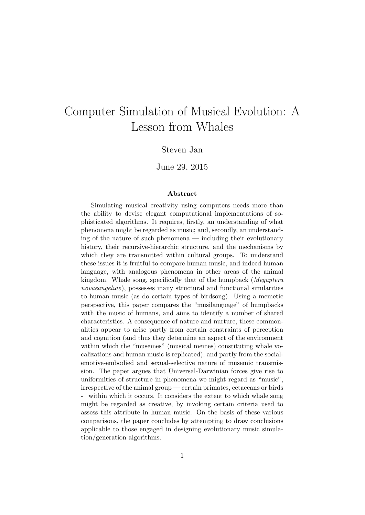# Computer Simulation of Musical Evolution: A Lesson from Whales

#### Steven Jan

#### June 29, 2015

#### Abstract

Simulating musical creativity using computers needs more than the ability to devise elegant computational implementations of sophisticated algorithms. It requires, firstly, an understanding of what phenomena might be regarded as music; and, secondly, an understanding of the nature of such phenomena — including their evolutionary history, their recursive-hierarchic structure, and the mechanisms by which they are transmitted within cultural groups. To understand these issues it is fruitful to compare human music, and indeed human language, with analogous phenomena in other areas of the animal kingdom. Whale song, specifically that of the humpback (Megaptera novaeangeliae), possesses many structural and functional similarities to human music (as do certain types of birdsong). Using a memetic perspective, this paper compares the "musilanguage" of humpbacks with the music of humans, and aims to identify a number of shared characteristics. A consequence of nature and nurture, these commonalities appear to arise partly from certain constraints of perception and cognition (and thus they determine an aspect of the environment within which the "musemes" (musical memes) constituting whale vocalizations and human music is replicated), and partly from the socialemotive-embodied and sexual-selective nature of musemic transmission. The paper argues that Universal-Darwinian forces give rise to uniformities of structure in phenomena we might regard as "music", irrespective of the animal group — certain primates, cetaceans or birds -– within which it occurs. It considers the extent to which whale song might be regarded as creative, by invoking certain criteria used to assess this attribute in human music. On the basis of these various comparisons, the paper concludes by attempting to draw conclusions applicable to those engaged in designing evolutionary music simulation/generation algorithms.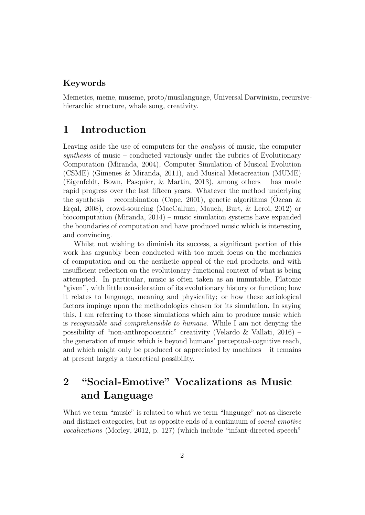#### Keywords

Memetics, meme, museme, proto/musilanguage, Universal Darwinism, recursivehierarchic structure, whale song, creativity.

### 1 Introduction

Leaving aside the use of computers for the analysis of music, the computer synthesis of music – conducted variously under the rubrics of Evolutionary Computation (Miranda, 2004), Computer Simulation of Musical Evolution (CSME) (Gimenes & Miranda, 2011), and Musical Metacreation (MUME) (Eigenfeldt, Bown, Pasquier, & Martin, 2013), among others – has made rapid progress over the last fifteen years. Whatever the method underlying the synthesis – recombination (Cope, 2001), genetic algorithms (Ozcan  $\&$ Erçal, 2008), crowd-sourcing (MacCallum, Mauch, Burt, & Leroi, 2012) or biocomputation (Miranda, 2014) – music simulation systems have expanded the boundaries of computation and have produced music which is interesting and convincing.

Whilst not wishing to diminish its success, a significant portion of this work has arguably been conducted with too much focus on the mechanics of computation and on the aesthetic appeal of the end products, and with insufficient reflection on the evolutionary-functional context of what is being attempted. In particular, music is often taken as an immutable, Platonic "given", with little consideration of its evolutionary history or function; how it relates to language, meaning and physicality; or how these aetiological factors impinge upon the methodologies chosen for its simulation. In saying this, I am referring to those simulations which aim to produce music which is recognizable and comprehensible to humans. While I am not denying the possibility of "non-anthropocentric" creativity (Velardo & Vallati, 2016) – the generation of music which is beyond humans' perceptual-cognitive reach, and which might only be produced or appreciated by machines – it remains at present largely a theoretical possibility.

# 2 "Social-Emotive" Vocalizations as Music and Language

What we term "music" is related to what we term "language" not as discrete and distinct categories, but as opposite ends of a continuum of social-emotive vocalizations (Morley, 2012, p. 127) (which include "infant-directed speech"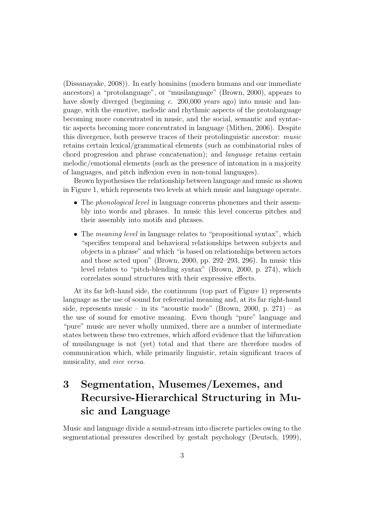(Dissanayake, 2008)). In early hominins (modern humans and our immediate ancestors) a "protolanguage", or "musilanguage" (Brown, 2000), appears to have slowly diverged (beginning c. 200,000 years ago) into music and language, with the emotive, melodic and rhythmic aspects of the protolanguage becoming more concentrated in music, and the social, semantic and syntactic aspects becoming more concentrated in language (Mithen, 2006). Despite this divergence, both preserve traces of their protolinguistic ancestor: music retains certain lexical/grammatical elements (such as combinatorial rules of chord progression and phrase concatenation); and language retains certain melodic/emotional elements (such as the presence of intonation in a majority of languages, and pitch inflexion even in non-tonal languages).

Brown hypothesises the relationship between language and music as shown in Figure 1, which represents two levels at which music and language operate.

- The *phonological level* in language concerns phonemes and their assembly into words and phrases. In music this level concerns pitches and their assembly into motifs and phrases.
- The *meaning level* in language relates to "propositional syntax", which "specifies temporal and behavioral relationships between subjects and objects in a phrase" and which "is based on relationships between actors and those acted upon" (Brown, 2000, pp. 292–293, 296). In music this level relates to "pitch-blending syntax" (Brown, 2000, p. 274), which correlates sound structures with their expressive effects.

At its far left-hand side, the continuum (top part of Figure 1) represents language as the use of sound for referential meaning and, at its far right-hand side, represents music – in its "acoustic mode" (Brown, 2000, p. 271) – as the use of sound for emotive meaning. Even though "pure" language and "pure" music are never wholly unmixed, there are a number of intermediate states between these two extremes, which afford evidence that the bifurcation of musilanguage is not (yet) total and that there are therefore modes of communication which, while primarily linguistic, retain significant traces of musicality, and vice versa.

# 3 Segmentation, Musemes/Lexemes, and Recursive-Hierarchical Structuring in Music and Language

Music and language divide a sound-stream into discrete particles owing to the segmentational pressures described by gestalt psychology (Deutsch, 1999),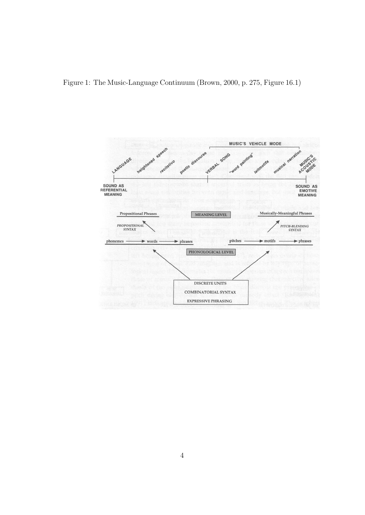Figure 1: The Music-Language Continuum (Brown, 2000, p. 275, Figure 16.1)

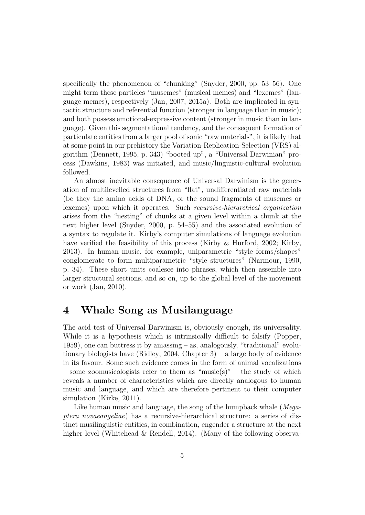specifically the phenomenon of "chunking" (Snyder, 2000, pp. 53–56). One might term these particles "musemes" (musical memes) and "lexemes" (language memes), respectively (Jan, 2007, 2015a). Both are implicated in syntactic structure and referential function (stronger in language than in music); and both possess emotional-expressive content (stronger in music than in language). Given this segmentational tendency, and the consequent formation of particulate entities from a larger pool of sonic "raw materials", it is likely that at some point in our prehistory the Variation-Replication-Selection (VRS) algorithm (Dennett, 1995, p. 343) "booted up", a "Universal Darwinian" process (Dawkins, 1983) was initiated, and music/linguistic-cultural evolution followed.

An almost inevitable consequence of Universal Darwinism is the generation of multilevelled structures from "flat", undifferentiated raw materials (be they the amino acids of DNA, or the sound fragments of musemes or lexemes) upon which it operates. Such recursive-hierarchical organization arises from the "nesting" of chunks at a given level within a chunk at the next higher level (Snyder, 2000, p. 54–55) and the associated evolution of a syntax to regulate it. Kirby's computer simulations of language evolution have verified the feasibility of this process (Kirby & Hurford, 2002; Kirby, 2013). In human music, for example, uniparametric "style forms/shapes" conglomerate to form multiparametric "style structures" (Narmour, 1990, p. 34). These short units coalesce into phrases, which then assemble into larger structural sections, and so on, up to the global level of the movement or work (Jan, 2010).

#### 4 Whale Song as Musilanguage

The acid test of Universal Darwinism is, obviously enough, its universality. While it is a hypothesis which is intrinsically difficult to falsify (Popper, 1959), one can buttress it by amassing – as, analogously, "traditional" evolutionary biologists have (Ridley, 2004, Chapter 3) – a large body of evidence in its favour. Some such evidence comes in the form of animal vocalizations – some zoomusicologists refer to them as "music(s)" – the study of which reveals a number of characteristics which are directly analogous to human music and language, and which are therefore pertinent to their computer simulation (Kirke, 2011).

Like human music and language, the song of the humpback whale (Megaptera novaeangeliae) has a recursive-hierarchical structure: a series of distinct musilinguistic entities, in combination, engender a structure at the next higher level (Whitehead & Rendell, 2014). (Many of the following observa-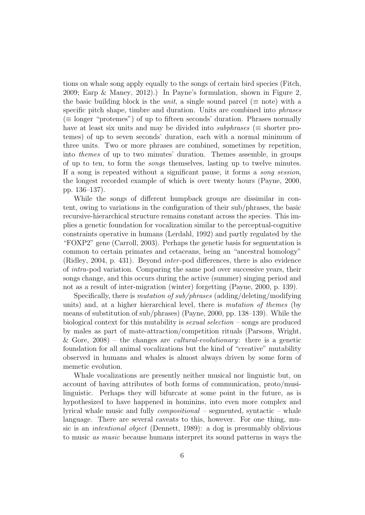tions on whale song apply equally to the songs of certain bird species (Fitch, 2009; Earp & Maney, 2012).) In Payne's formulation, shown in Figure 2, the basic building block is the *unit*, a single sound parcel ( $\equiv$  note) with a specific pitch shape, timbre and duration. Units are combined into *phrases*  $(\equiv$  longer "protemes") of up to fifteen seconds' duration. Phrases normally have at least six units and may be divided into subphrases ( $\equiv$  shorter protemes) of up to seven seconds' duration, each with a normal minimum of three units. Two or more phrases are combined, sometimes by repetition, into themes of up to two minutes' duration. Themes assemble, in groups of up to ten, to form the songs themselves, lasting up to twelve minutes. If a song is repeated without a significant pause, it forms a song session, the longest recorded example of which is over twenty hours (Payne, 2000, pp. 136–137).

While the songs of different humpback groups are dissimilar in content, owing to variations in the configuration of their sub/phrases, the basic recursive-hierarchical structure remains constant across the species. This implies a genetic foundation for vocalization similar to the perceptual-cognitive constraints operative in humans (Lerdahl, 1992) and partly regulated by the "FOXP2" gene (Carroll, 2003). Perhaps the genetic basis for segmentation is common to certain primates and cetaceans, being an "ancestral homology" (Ridley, 2004, p. 431). Beyond inter -pod differences, there is also evidence of intra-pod variation. Comparing the same pod over successive years, their songs change, and this occurs during the active (summer) singing period and not as a result of inter-migration (winter) forgetting (Payne, 2000, p. 139).

Specifically, there is mutation of sub/phrases (adding/deleting/modifying units) and, at a higher hierarchical level, there is mutation of themes (by means of substitution of sub/phrases) (Payne, 2000, pp. 138–139). While the biological context for this mutability is *sexual selection* – songs are produced by males as part of mate-attraction/competition rituals (Parsons, Wright, & Gore,  $2008$  – the changes are *cultural-evolutionary*: there is a genetic foundation for all animal vocalizations but the kind of "creative" mutability observed in humans and whales is almost always driven by some form of memetic evolution.

Whale vocalizations are presently neither musical nor linguistic but, on account of having attributes of both forms of communication, proto/musilinguistic. Perhaps they will bifurcate at some point in the future, as is hypothesized to have happened in hominins, into even more complex and lyrical whale music and fully compositional – segmented, syntactic – whale language. There are several caveats to this, however. For one thing, music is an intentional object (Dennett, 1989): a dog is presumably oblivious to music as music because humans interpret its sound patterns in ways the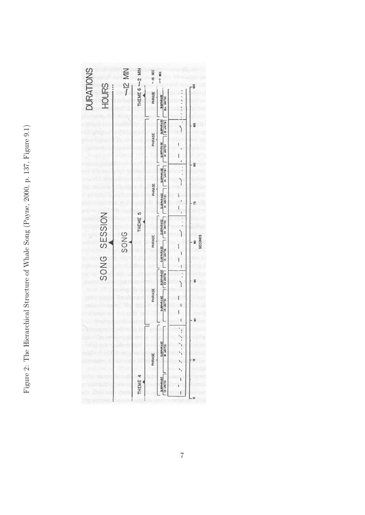Figure 2: The Hierarchical Structure of Whale Song (Payne, 2000, p. 137, Figure 9.1) Figure 2: The Hierarchical Structure of Whale Song (Payne, 2000, p. 137, Figure 9.1)

| <b>DURATIONS</b><br><b>HOURS</b> | $-12$ MIN | THEME 6 - 2 MIN | -- 15 SEC<br>PHRASE<br>PHRASE | ~7 sec<br><b>SUBPIRASE</b><br>$(9 + UNITS)$<br>$\begin{bmatrix} \frac{\text{SLOPMRASE}}{\text{Q UNITS}} \end{bmatrix}$<br><b>SUBPHRASE</b><br>H UNITSI | .<br>$\ddot{\phantom{0}}$             | 120<br><b>105</b>    |
|----------------------------------|-----------|-----------------|-------------------------------|--------------------------------------------------------------------------------------------------------------------------------------------------------|---------------------------------------|----------------------|
|                                  |           |                 | PHRASE                        | SUBPHRASE<br>(4 UNITS)<br>SUBPHRASE                                                                                                                    | ł<br>ì                                | $\overline{9}$<br>۴D |
| SONG SESSION                     | SONG      | THEME 5         | PHRASE                        | SUBPHRASE<br>SUBPHRASE<br>(4 UNITS)                                                                                                                    | Į<br>ł<br>$\ddot{\phantom{0}}$        | <b>SECONDS</b>       |
|                                  |           |                 | PHRASE                        | SUBPHRASE<br><b>SUBPHRASE</b><br>(4 UNITS)                                                                                                             | ţ<br>.<br>'                           | \$                   |
|                                  |           | THEME 4         | PHRASE                        | <b>SUBPHRASE</b><br><b>16 UNITS)</b>                                                                                                                   | l<br>$\ddot{v}$<br>$\frac{1}{1}$<br>1 | 8<br>S               |
|                                  |           |                 |                               | SUBPHRASE<br>(3 LINETS)                                                                                                                                | ١<br>١                                |                      |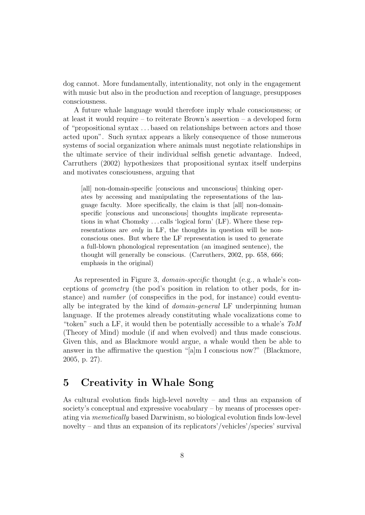dog cannot. More fundamentally, intentionality, not only in the engagement with music but also in the production and reception of language, presupposes consciousness.

A future whale language would therefore imply whale consciousness; or at least it would require – to reiterate Brown's assertion – a developed form of "propositional syntax . . . based on relationships between actors and those acted upon". Such syntax appears a likely consequence of those numerous systems of social organization where animals must negotiate relationships in the ultimate service of their individual selfish genetic advantage. Indeed, Carruthers (2002) hypothesizes that propositional syntax itself underpins and motivates consciousness, arguing that

[all] non-domain-specific [conscious and unconscious] thinking operates by accessing and manipulating the representations of the language faculty. More specifically, the claim is that [all] non-domainspecific [conscious and unconscious] thoughts implicate representations in what Chomsky . . . calls 'logical form' (LF). Where these representations are *only* in LF, the thoughts in question will be nonconscious ones. But where the LF representation is used to generate a full-blown phonological representation (an imagined sentence), the thought will generally be conscious. (Carruthers, 2002, pp. 658, 666; emphasis in the original)

As represented in Figure 3, *domain-specific* thought (e.g., a whale's conceptions of geometry (the pod's position in relation to other pods, for instance) and number (of conspecifics in the pod, for instance) could eventually be integrated by the kind of domain-general LF underpinning human language. If the protemes already constituting whale vocalizations come to "token" such a LF, it would then be potentially accessible to a whale's ToM (Theory of Mind) module (if and when evolved) and thus made conscious. Given this, and as Blackmore would argue, a whale would then be able to answer in the affirmative the question "[a]m I conscious now?" (Blackmore, 2005, p. 27).

### 5 Creativity in Whale Song

As cultural evolution finds high-level novelty – and thus an expansion of society's conceptual and expressive vocabulary – by means of processes operating via memetically based Darwinism, so biological evolution finds low-level novelty – and thus an expansion of its replicators'/vehicles'/species' survival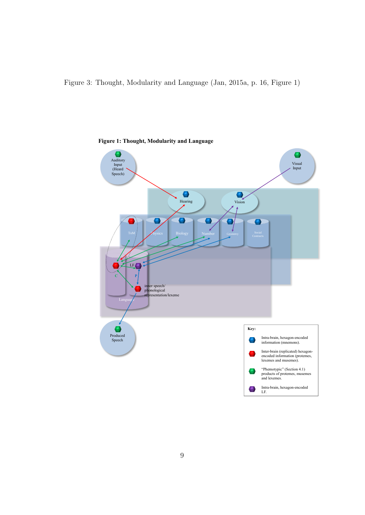Figure 3: Thought, Modularity and Language (Jan, 2015a, p. 16, Figure 1)



**Figure 1: Thought, Modularity and Language**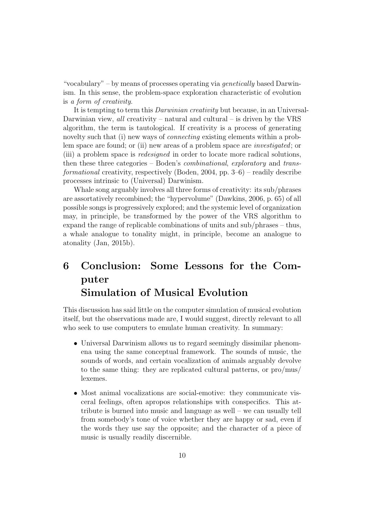"vocabulary" – by means of processes operating via *genetically* based Darwinism. In this sense, the problem-space exploration characteristic of evolution is a form of creativity.

It is tempting to term this Darwinian creativity but because, in an Universal-Darwinian view, all creativity – natural and cultural – is driven by the VRS algorithm, the term is tautological. If creativity is a process of generating novelty such that (i) new ways of *connecting* existing elements within a problem space are found; or (ii) new areas of a problem space are investigated; or (iii) a problem space is redesigned in order to locate more radical solutions, then these three categories – Boden's combinational, exploratory and transformational creativity, respectively (Boden, 2004, pp.  $3-6$ ) – readily describe processes intrinsic to (Universal) Darwinism.

Whale song arguably involves all three forms of creativity: its sub/phrases are assortatively recombined; the "hypervolume" (Dawkins, 2006, p. 65) of all possible songs is progressively explored; and the systemic level of organization may, in principle, be transformed by the power of the VRS algorithm to expand the range of replicable combinations of units and sub/phrases – thus, a whale analogue to tonality might, in principle, become an analogue to atonality (Jan, 2015b).

## 6 Conclusion: Some Lessons for the Computer Simulation of Musical Evolution

This discussion has said little on the computer simulation of musical evolution itself, but the observations made are, I would suggest, directly relevant to all who seek to use computers to emulate human creativity. In summary:

- Universal Darwinism allows us to regard seemingly dissimilar phenomena using the same conceptual framework. The sounds of music, the sounds of words, and certain vocalization of animals arguably devolve to the same thing: they are replicated cultural patterns, or pro/mus/ lexemes.
- Most animal vocalizations are social-emotive: they communicate visceral feelings, often apropos relationships with conspecifics. This attribute is burned into music and language as well – we can usually tell from somebody's tone of voice whether they are happy or sad, even if the words they use say the opposite; and the character of a piece of music is usually readily discernible.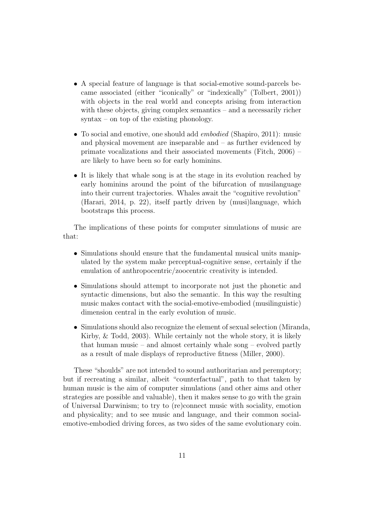- A special feature of language is that social-emotive sound-parcels became associated (either "iconically" or "indexically" (Tolbert, 2001)) with objects in the real world and concepts arising from interaction with these objects, giving complex semantics – and a necessarily richer syntax – on top of the existing phonology.
- To social and emotive, one should add *embodied* (Shapiro, 2011): music and physical movement are inseparable and – as further evidenced by primate vocalizations and their associated movements (Fitch, 2006) – are likely to have been so for early hominins.
- It is likely that whale song is at the stage in its evolution reached by early hominins around the point of the bifurcation of musilanguage into their current trajectories. Whales await the "cognitive revolution" (Harari, 2014, p. 22), itself partly driven by (musi)language, which bootstraps this process.

The implications of these points for computer simulations of music are that:

- Simulations should ensure that the fundamental musical units manipulated by the system make perceptual-cognitive sense, certainly if the emulation of anthropocentric/zoocentric creativity is intended.
- Simulations should attempt to incorporate not just the phonetic and syntactic dimensions, but also the semantic. In this way the resulting music makes contact with the social-emotive-embodied (musilinguistic) dimension central in the early evolution of music.
- Simulations should also recognize the element of sexual selection (Miranda, Kirby, & Todd, 2003). While certainly not the whole story, it is likely that human music – and almost certainly whale song – evolved partly as a result of male displays of reproductive fitness (Miller, 2000).

These "shoulds" are not intended to sound authoritarian and peremptory; but if recreating a similar, albeit "counterfactual", path to that taken by human music is the aim of computer simulations (and other aims and other strategies are possible and valuable), then it makes sense to go with the grain of Universal Darwinism; to try to (re)connect music with sociality, emotion and physicality; and to see music and language, and their common socialemotive-embodied driving forces, as two sides of the same evolutionary coin.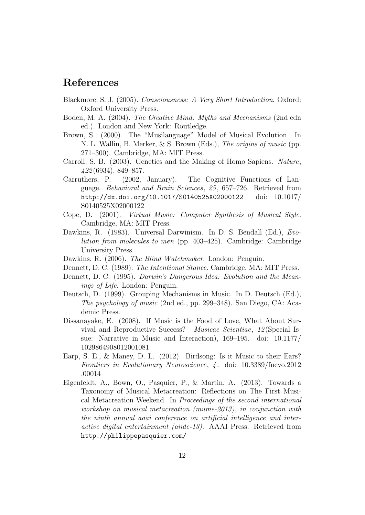### References

- Blackmore, S. J. (2005). Consciousness: A Very Short Introduction. Oxford: Oxford University Press.
- Boden, M. A. (2004). The Creative Mind: Myths and Mechanisms (2nd edn ed.). London and New York: Routledge.
- Brown, S. (2000). The "Musilanguage" Model of Musical Evolution. In N. L. Wallin, B. Merker, & S. Brown (Eds.), The origins of music (pp. 271–300). Cambridge, MA: MIT Press.
- Carroll, S. B. (2003). Genetics and the Making of Homo Sapiens. Nature, 422 (6934), 849–857.
- Carruthers, P. (2002, January). The Cognitive Functions of Language. Behavioral and Brain Sciences, 25 , 657–726. Retrieved from http://dx.doi.org/10.1017/S0140525X02000122 doi: 10.1017/ S0140525X02000122
- Cope, D. (2001). Virtual Music: Computer Synthesis of Musical Style. Cambridge, MA: MIT Press.
- Dawkins, R. (1983). Universal Darwinism. In D. S. Bendall (Ed.), Evolution from molecules to men (pp. 403–425). Cambridge: Cambridge University Press.
- Dawkins, R. (2006). *The Blind Watchmaker*. London: Penguin.
- Dennett, D. C. (1989). The Intentional Stance. Cambridge, MA: MIT Press.
- Dennett, D. C. (1995). Darwin's Dangerous Idea: Evolution and the Meanings of Life. London: Penguin.
- Deutsch, D. (1999). Grouping Mechanisms in Music. In D. Deutsch (Ed.), The psychology of music (2nd ed., pp. 299–348). San Diego, CA: Academic Press.
- Dissanayake, E. (2008). If Music is the Food of Love, What About Survival and Reproductive Success? Musicae Scientiae, 12 (Special Issue: Narrative in Music and Interaction), 169–195. doi: 10.1177/ 1029864908012001081
- Earp, S. E., & Maney, D. L. (2012). Birdsong: Is it Music to their Ears? Frontiers in Evolutionary Neuroscience, 4 . doi: 10.3389/fnevo.2012 .00014
- Eigenfeldt, A., Bown, O., Pasquier, P., & Martin, A. (2013). Towards a Taxonomy of Musical Metacreation: Reflections on The First Musical Metacreation Weekend. In Proceedings of the second international workshop on musical metacreation (mume-2013), in conjunction with the ninth annual aaai conference on artificial intelligence and interactive digital entertainment (aiide-13). AAAI Press. Retrieved from http://philippepasquier.com/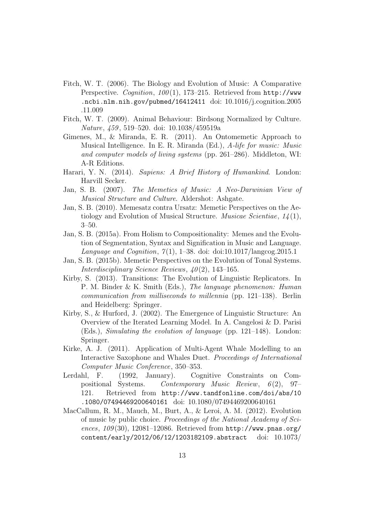- Fitch, W. T. (2006). The Biology and Evolution of Music: A Comparative Perspective. Cognition,  $100(1)$ , 173-215. Retrieved from http://www .ncbi.nlm.nih.gov/pubmed/16412411 doi: 10.1016/j.cognition.2005 .11.009
- Fitch, W. T. (2009). Animal Behaviour: Birdsong Normalized by Culture. Nature, 459 , 519–520. doi: 10.1038/459519a
- Gimenes, M., & Miranda, E. R. (2011). An Ontomemetic Approach to Musical Intelligence. In E. R. Miranda (Ed.), A-life for music: Music and computer models of living systems (pp. 261–286). Middleton, WI: A-R Editions.
- Harari, Y. N. (2014). Sapiens: A Brief History of Humankind. London: Harvill Secker.
- Jan, S. B. (2007). The Memetics of Music: A Neo-Darwinian View of Musical Structure and Culture. Aldershot: Ashgate.
- Jan, S. B. (2010). Memesatz contra Ursatz: Memetic Perspectives on the Aetiology and Evolution of Musical Structure. *Musicae Scientiae*,  $1/4(1)$ , 3–50.
- Jan, S. B. (2015a). From Holism to Compositionality: Memes and the Evolution of Segmentation, Syntax and Signification in Music and Language. Language and Cognition,  $7(1)$ , 1–38. doi: doi:10.1017/langcog.2015.1
- Jan, S. B. (2015b). Memetic Perspectives on the Evolution of Tonal Systems. Interdisciplinary Science Reviews,  $40(2)$ , 143–165.
- Kirby, S. (2013). Transitions: The Evolution of Linguistic Replicators. In P. M. Binder & K. Smith (Eds.), The language phenomenon: Human communication from milliseconds to millennia (pp. 121–138). Berlin and Heidelberg: Springer.
- Kirby, S., & Hurford, J. (2002). The Emergence of Linguistic Structure: An Overview of the Iterated Learning Model. In A. Cangelosi & D. Parisi (Eds.), Simulating the evolution of language (pp. 121–148). London: Springer.
- Kirke, A. J. (2011). Application of Multi-Agent Whale Modelling to an Interactive Saxophone and Whales Duet. Proceedings of International Computer Music Conference, 350–353.
- Lerdahl, F. (1992, January). Cognitive Constraints on Compositional Systems. Contemporary Music Review,  $6(2)$ , 97– 121. Retrieved from http://www.tandfonline.com/doi/abs/10 .1080/07494469200640161 doi: 10.1080/07494469200640161
- MacCallum, R. M., Mauch, M., Burt, A., & Leroi, A. M. (2012). Evolution of music by public choice. Proceedings of the National Academy of Sciences,  $109(30)$ , 12081–12086. Retrieved from http://www.pnas.org/ content/early/2012/06/12/1203182109.abstract doi: 10.1073/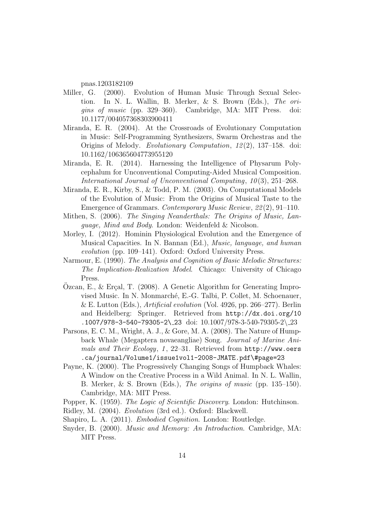pnas.1203182109

- Miller, G. (2000). Evolution of Human Music Through Sexual Selection. In N. L. Wallin, B. Merker, & S. Brown (Eds.), The origins of music (pp. 329–360). Cambridge, MA: MIT Press. doi: 10.1177/004057368303900411
- Miranda, E. R. (2004). At the Crossroads of Evolutionary Computation in Music: Self-Programming Synthesizers, Swarm Orchestras and the Origins of Melody. Evolutionary Computation, 12 (2), 137–158. doi: 10.1162/106365604773955120
- Miranda, E. R. (2014). Harnessing the Intelligence of Physarum Polycephalum for Unconventional Computing-Aided Musical Composition. International Journal of Unconventional Computing, 10(3), 251–268.
- Miranda, E. R., Kirby, S., & Todd, P. M. (2003). On Computational Models of the Evolution of Music: From the Origins of Musical Taste to the Emergence of Grammars. Contemporary Music Review, 22 (2), 91–110.
- Mithen, S. (2006). The Singing Neanderthals: The Origins of Music, Language, Mind and Body. London: Weidenfeld & Nicolson.
- Morley, I. (2012). Hominin Physiological Evolution and the Emergence of Musical Capacities. In N. Bannan (Ed.), Music, language, and human evolution (pp. 109–141). Oxford: Oxford University Press.
- Narmour, E. (1990). The Analysis and Cognition of Basic Melodic Structures: The Implication-Realization Model. Chicago: University of Chicago Press.
- Ozcan, E., & Erçal, T.  $(2008)$ . A Genetic Algorithm for Generating Improvised Music. In N. Monmarch´e, E.-G. Talbi, P. Collet, M. Schoenauer, & E. Lutton (Eds.), Artificial evolution (Vol. 4926, pp. 266–277). Berlin and Heidelberg: Springer. Retrieved from http://dx.doi.org/10  $.1007/978 - 3 - 540 - 79305 - 2 \angle 23$  doi:  $10.1007/978 - 3 - 540 - 79305 - 2 \angle 23$
- Parsons, E. C. M., Wright, A. J., & Gore, M. A. (2008). The Nature of Humpback Whale (Megaptera novaeangliae) Song. Journal of Marine Animals and Their Ecology, 1, 22-31. Retrieved from http://www.oers .ca/journal/Volume1/issue1vol1-2008-JMATE.pdf\#page=23
- Payne, K. (2000). The Progressively Changing Songs of Humpback Whales: A Window on the Creative Process in a Wild Animal. In N. L. Wallin, B. Merker, & S. Brown (Eds.), The origins of music (pp. 135–150). Cambridge, MA: MIT Press.
- Popper, K. (1959). The Logic of Scientific Discovery. London: Hutchinson.
- Ridley, M. (2004). Evolution (3rd ed.). Oxford: Blackwell.
- Shapiro, L. A. (2011). Embodied Cognition. London: Routledge.
- Snyder, B. (2000). Music and Memory: An Introduction. Cambridge, MA: MIT Press.